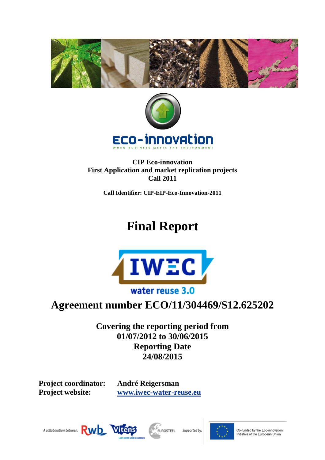



**CIP Eco-innovation First Application and market replication projects Call 2011**

**Call Identifier: CIP-EIP-Eco-Innovation-2011**

# **Final Report**



## **Agreement number ECO/11/304469/S12.625202**

**Covering the reporting period from 01/07/2012 to 30/06/2015 Reporting Date 24/08/2015**

**Project coordinator: André Reigersman**

**Project website: [www.iwec-water-reuse.eu](http://www.iwec-water-reuse.eu/)**









Co-funded by the Eco-innovation<br>Initiative of the European Union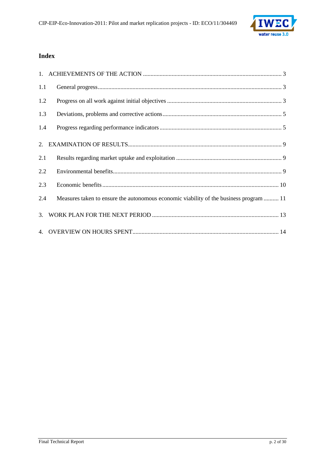

### **Index**

| 1.1 |                                                                                        |
|-----|----------------------------------------------------------------------------------------|
| 1.2 |                                                                                        |
| 1.3 |                                                                                        |
| 1.4 |                                                                                        |
|     |                                                                                        |
| 2.1 |                                                                                        |
| 2.2 |                                                                                        |
| 2.3 |                                                                                        |
| 2.4 | Measures taken to ensure the autonomous economic viability of the business program  11 |
|     |                                                                                        |
|     |                                                                                        |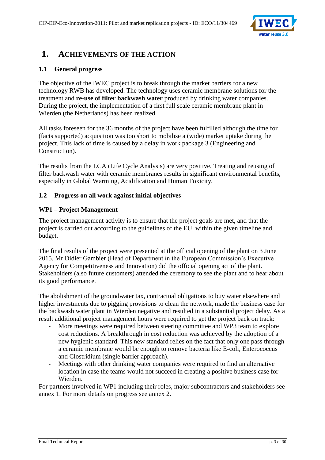

## <span id="page-2-0"></span>**1. ACHIEVEMENTS OF THE ACTION**

#### <span id="page-2-1"></span>**1.1 General progress**

The objective of the IWEC project is to break through the market barriers for a new technology RWB has developed. The technology uses ceramic membrane solutions for the treatment and **re-use of filter backwash water** produced by drinking water companies. During the project, the implementation of a first full scale ceramic membrane plant in Wierden (the Netherlands) has been realized.

All tasks foreseen for the 36 months of the project have been fulfilled although the time for (facts supported) acquisition was too short to mobilise a (wide) market uptake during the project. This lack of time is caused by a delay in work package 3 (Engineering and Construction).

The results from the LCA (Life Cycle Analysis) are very positive. Treating and reusing of filter backwash water with ceramic membranes results in significant environmental benefits, especially in Global Warming, Acidification and Human Toxicity.

#### <span id="page-2-2"></span>**1.2 Progress on all work against initial objectives**

#### **WP1 – Project Management**

The project management activity is to ensure that the project goals are met, and that the project is carried out according to the guidelines of the EU, within the given timeline and budget.

The final results of the project were presented at the official opening of the plant on 3 June 2015. Mr Didier Gambier (Head of Department in the European Commission's Executive Agency for Competitiveness and Innovation) did the official opening act of the plant. Stakeholders (also future customers) attended the ceremony to see the plant and to hear about its good performance.

The abolishment of the groundwater tax, contractual obligations to buy water elsewhere and higher investments due to pigging provisions to clean the network, made the business case for the backwash water plant in Wierden negative and resulted in a substantial project delay. As a result additional project management hours were required to get the project back on track:

- More meetings were required between steering committee and WP3 team to explore cost reductions. A breakthrough in cost reduction was achieved by the adoption of a new hygienic standard. This new standard relies on the fact that only one pass through a ceramic membrane would be enough to remove bacteria like E-coli, Enterococcus and Clostridium (single barrier approach).
- Meetings with other drinking water companies were required to find an alternative location in case the teams would not succeed in creating a positive business case for Wierden.

For partners involved in WP1 including their roles, major subcontractors and stakeholders see annex 1. For more details on progress see annex 2.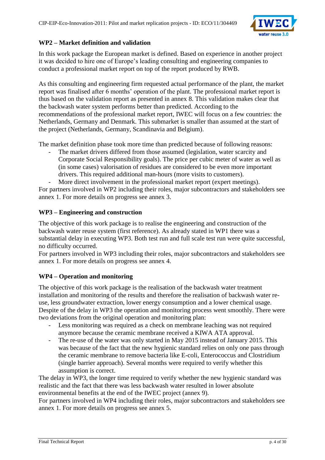

#### **WP2 – Market definition and validation**

In this work package the European market is defined. Based on experience in another project it was decided to hire one of Europe's leading consulting and engineering companies to conduct a professional market report on top of the report produced by RWB.

As this consulting and engineering firm requested actual performance of the plant, the market report was finalised after 6 months' operation of the plant. The professional market report is thus based on the validation report as presented in annex 8. This validation makes clear that the backwash water system performs better than predicted. According to the recommendations of the professional market report, IWEC will focus on a few countries: the Netherlands, Germany and Denmark. This submarket is smaller than assumed at the start of the project (Netherlands, Germany, Scandinavia and Belgium).

The market definition phase took more time than predicted because of following reasons:

The market drivers differed from those assumed (legislation, water scarcity and Corporate Social Responsibility goals). The price per cubic meter of water as well as (in some cases) valorisation of residues are considered to be even more important drivers. This required additional man-hours (more visits to customers).

More direct involvement in the professional market report (expert meetings). For partners involved in WP2 including their roles, major subcontractors and stakeholders see annex 1. For more details on progress see annex 3.

#### **WP3 – Engineering and construction**

The objective of this work package is to realise the engineering and construction of the backwash water reuse system (first reference). As already stated in WP1 there was a substantial delay in executing WP3. Both test run and full scale test run were quite successful, no difficulty occurred.

For partners involved in WP3 including their roles, major subcontractors and stakeholders see annex 1. For more details on progress see annex 4.

#### **WP4 – Operation and monitoring**

The objective of this work package is the realisation of the backwash water treatment installation and monitoring of the results and therefore the realisation of backwash water reuse, less groundwater extraction, lower energy consumption and a lower chemical usage. Despite of the delay in WP3 the operation and monitoring process went smoothly. There were two deviations from the original operation and monitoring plan:

- Less monitoring was required as a check on membrane leaching was not required anymore because the ceramic membrane received a KIWA ATA approval.
- The re-use of the water was only started in May 2015 instead of January 2015. This was because of the fact that the new hygienic standard relies on only one pass through the ceramic membrane to remove bacteria like E-coli, Enterococcus and Clostridium (single barrier approach). Several months were required to verify whether this assumption is correct.

The delay in WP3, the longer time required to verify whether the new hygienic standard was realistic and the fact that there was less backwash water resulted in lower absolute environmental benefits at the end of the IWEC project (annex 9).

For partners involved in WP4 including their roles, major subcontractors and stakeholders see annex 1. For more details on progress see annex 5.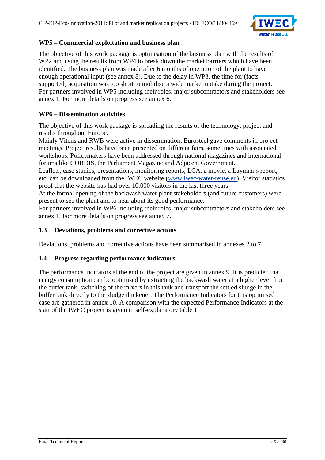

#### **WP5 – Commercial exploitation and business plan**

The objective of this work package is optimisation of the business plan with the results of WP2 and using the results from WP4 to break down the market barriers which have been identified. The business plan was made after 6 months of operation of the plant to have enough operational input (see annex 8). Due to the delay in WP3, the time for (facts supported) acquisition was too short to mobilise a wide market uptake during the project. For partners involved in WP5 including their roles, major subcontractors and stakeholders see annex 1. For more details on progress see annex 6.

#### **WP6 – Dissemination activities**

The objective of this work package is spreading the results of the technology, project and results throughout Europe.

Mainly Vitens and RWB were active in dissemination, Eurosteel gave comments in project meetings. Project results have been presented on different fairs, sometimes with associated workshops. Policymakers have been addressed through national magazines and international forums like CORDIS, the Parliament Magazine and Adjacent Government.

Leaflets, case studies, presentations, monitoring reports, LCA, a movie, a Layman's report, etc. can be downloaded from the IWEC website [\(www.iwec-water-reuse.eu\)](http://www.iwec-water-reuse.eu/). Visitor statistics proof that the website has had over 10.000 visitors in the last three years.

At the formal opening of the backwash water plant stakeholders (and future customers) were present to see the plant and to hear about its good performance.

For partners involved in WP6 including their roles, major subcontractors and stakeholders see annex 1. For more details on progress see annex 7.

#### <span id="page-4-0"></span>**1.3 Deviations, problems and corrective actions**

Deviations, problems and corrective actions have been summarised in annexes 2 to 7.

#### <span id="page-4-1"></span>**1.4 Progress regarding performance indicators**

The performance indicators at the end of the project are given in annex 9. It is predicted that energy consumption can be optimised by extracting the backwash water at a higher lever from the buffer tank, switching of the mixers in this tank and transport the settled sludge in the buffer tank directly to the sludge thickener. The Performance Indicators for this optimised case are gathered in annex 10. A comparison with the expected Performance Indicators at the start of the IWEC project is given in self-explanatory table 1.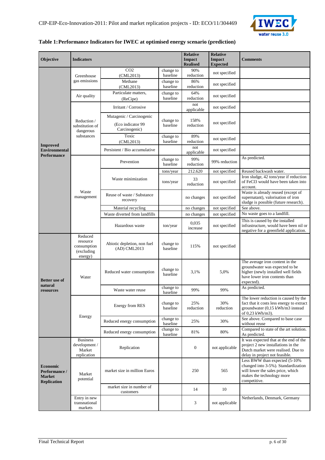

#### **Table 1:Performance Indicators for IWEC at optimised energy scenario (prediction)**

| Objective                                                               | <b>Indicators</b>                                            |                                                                |                       | <b>Relative</b><br><b>Impact</b><br><b>Realised</b> | <b>Relative</b><br><b>Impact</b><br><b>Expected</b> | <b>Comments</b>                                                                                                                                         |
|-------------------------------------------------------------------------|--------------------------------------------------------------|----------------------------------------------------------------|-----------------------|-----------------------------------------------------|-----------------------------------------------------|---------------------------------------------------------------------------------------------------------------------------------------------------------|
|                                                                         | Greenhouse                                                   | CO <sub>2</sub><br>(CML2013)                                   | change to<br>baseline | 90%<br>reduction                                    | not specified                                       |                                                                                                                                                         |
|                                                                         | gas emissions                                                | Methane<br>(CML2013)                                           | change to<br>baseline | 86%<br>reduction                                    | not specified                                       |                                                                                                                                                         |
|                                                                         | Air quality                                                  | Particulate matters,<br>(ReCipe)                               | change to<br>baseline | 64%<br>reduction                                    | not specified                                       |                                                                                                                                                         |
|                                                                         |                                                              | Irritant / Corrosive                                           |                       | not<br>applicable                                   | not specified                                       |                                                                                                                                                         |
|                                                                         | Reduction /<br>substitution of<br>dangerous                  | Mutagenic / Carcinogenic<br>(Eco indicator 99<br>Carcinogenic) | change to<br>baseline | 158%<br>reduction                                   | not specified                                       |                                                                                                                                                         |
| <b>Improved</b>                                                         | substances                                                   | Toxic<br>(CML2013)                                             | change to<br>baseline | 89%<br>reduction                                    | not specified                                       |                                                                                                                                                         |
| <b>Environmental</b><br><b>Performance</b>                              |                                                              | Persistent / Bio accumulative                                  |                       | not<br>applicable                                   | not specified                                       |                                                                                                                                                         |
|                                                                         |                                                              | Prevention                                                     | change to<br>baseline | 99%<br>reduction                                    | 99% reduction                                       | As predicted.                                                                                                                                           |
|                                                                         |                                                              |                                                                | tons/year             | 212.620                                             | not specified                                       | Reused backwash water.                                                                                                                                  |
|                                                                         | Waste<br>management                                          | Waste minimization                                             | tons/year             | 33<br>reduction                                     | not specified                                       | Iron sludge, 42 tons/year if reduction<br>of FeCl3 would have been taken into<br>account.                                                               |
|                                                                         |                                                              | Reuse of waste / Substance<br>recovery                         |                       | no changes                                          | not specified                                       | Waste is already reused (except of<br>supernatant), valorisation of iron<br>sludge is possible (future research).                                       |
|                                                                         |                                                              | Material recycling                                             |                       | no changes                                          | not specified                                       | See above.                                                                                                                                              |
|                                                                         |                                                              | Waste diverted from landfills                                  |                       | no changes                                          | not specified                                       | No waste goes to a landfill.                                                                                                                            |
|                                                                         |                                                              | Hazardous waste                                                | ton/year              | 0.035<br>increase                                   | not specified                                       | This is caused by the installed<br>infrastructure, would have been nil or<br>negative for a greenfield application.                                     |
|                                                                         | Reduced<br>resource<br>consumption<br>(excluding)<br>energy) | Abiotic depletion, non fuel<br>(AD) CML2013                    | change to<br>baseline | 115%                                                | not specified                                       |                                                                                                                                                         |
| <b>Better</b> use of<br>natural                                         | Water                                                        | Reduced water consumption                                      | change to<br>baseline | 3.1%                                                | 5,0%                                                | The average iron content in the<br>groundwater was expected to be<br>higher (newly installed well fields<br>have lower iron contents than<br>expected). |
| resources                                                               |                                                              | Waste water reuse                                              | change to<br>baseline | 99%                                                 | 99%                                                 | As predicted.                                                                                                                                           |
|                                                                         |                                                              | Energy from RES                                                | change to<br>baseline | 25%<br>reduction                                    | 30%<br>reduction                                    | The lower reduction is caused by the<br>fact that it costs less energy to extract<br>groundwater (0,15 kWh/m3 instead<br>of 0,23 kWh/m3).               |
|                                                                         | Energy                                                       | Reduced energy consumption                                     | change to<br>baseline | 25%                                                 | 30%                                                 | See above. Compared to base case<br>without reuse                                                                                                       |
|                                                                         |                                                              | Reduced energy consumption                                     | change to<br>baseline | 81%                                                 | 80%                                                 | Compared to state of the art solution.<br>As predicted.                                                                                                 |
|                                                                         | <b>Business</b><br>development /<br>Market<br>replication    | Replication                                                    |                       | $\boldsymbol{0}$                                    | not applicable                                      | It was expected that at the end of the<br>project 2 new installations in the<br>Dutch market were realised. Due to<br>delay in project not feasible.    |
| <b>Economic</b><br>Performance /<br><b>Market</b><br><b>Replication</b> | Market<br>potential                                          | market size in million Euros                                   |                       | 250                                                 | 565                                                 | Less BWW than expected (5-10%<br>changed into 3-5%). Standardization<br>will lower the sales price, which<br>makes the technology more<br>competitive.  |
|                                                                         |                                                              | market size in number of<br>customers                          |                       | 14                                                  | 10                                                  |                                                                                                                                                         |
|                                                                         | Entry in new<br>transnational<br>markets                     |                                                                |                       | 3                                                   | not applicable                                      | Netherlands, Denmark, Germany                                                                                                                           |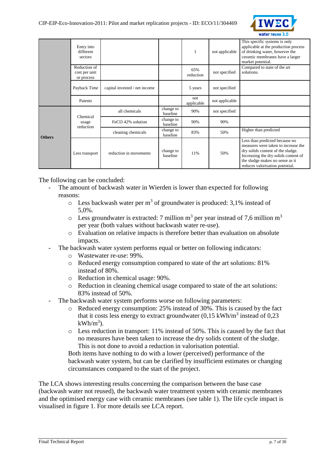|               | Entry into<br>different<br>sectors          |                                |                       |                   | not applicable | This specific systems is only<br>applicable at the production process<br>of drinking water, however the<br>ceramic membranes have a larger<br>market potential.                                                          |
|---------------|---------------------------------------------|--------------------------------|-----------------------|-------------------|----------------|--------------------------------------------------------------------------------------------------------------------------------------------------------------------------------------------------------------------------|
|               | Reduction of<br>cost per unit<br>or process |                                |                       | 65%<br>reduction  | not specified  | Compared to state of the art<br>solutions.                                                                                                                                                                               |
|               | Payback Time                                | capital invested / net income  |                       | 5 years           | not specified  |                                                                                                                                                                                                                          |
|               | Patents                                     |                                |                       | not<br>applicable | not applicable |                                                                                                                                                                                                                          |
|               | Chemical<br>usage<br>reduction              | all chemicals                  | change to<br>baseline | 90%               | not specified  |                                                                                                                                                                                                                          |
|               |                                             | FeCl <sub>3</sub> 42% solution | change to<br>baseline | 90%               | 90%            |                                                                                                                                                                                                                          |
| <b>Others</b> |                                             | cleaning chemicals             | change to<br>baseline | 83%               | 50%            | Higher than predicted                                                                                                                                                                                                    |
|               | reduction in movements<br>Less transport    |                                | change to<br>baseline | 11%               | 50%            | Less than predicted because no<br>measures were taken to increase the<br>dry solids content of the sludge.<br>Increasing the dry solids content of<br>the sludge makes no sense as it<br>reduces valorisation potential. |

The following can be concluded:

- The amount of backwash water in Wierden is lower than expected for following reasons:
	- $\circ$  Less backwash water per m<sup>3</sup> of groundwater is produced: 3,1% instead of 5,0%.
	- $\circ$  Less groundwater is extracted: 7 million m<sup>3</sup> per year instead of 7,6 million m<sup>3</sup> per year (both values without backwash water re-use).
	- o Evaluation on relative impacts is therefore better than evaluation on absolute impacts.
	- The backwash water system performs equal or better on following indicators:
		- o Wastewater re-use: 99%.
		- o Reduced energy consumption compared to state of the art solutions: 81% instead of 80%.
		- o Reduction in chemical usage: 90%.
		- o Reduction in cleaning chemical usage compared to state of the art solutions: 83% instead of 50%.
- The backwash water system performs worse on following parameters:
	- o Reduced energy consumption: 25% instead of 30%. This is caused by the fact that it costs less energy to extract groundwater  $(0,15 \text{ kWh/m}^3 \text{ instead of } 0,23)$  $kWh/m^3$ ).
	- o Less reduction in transport: 11% instead of 50%. This is caused by the fact that no measures have been taken to increase the dry solids content of the sludge. This is not done to avoid a reduction in valorisation potential.

Both items have nothing to do with a lower (perceived) performance of the backwash water system, but can be clarified by insufficient estimates or changing circumstances compared to the start of the project.

The LCA shows interesting results concerning the comparison between the base case (backwash water not reused), the backwash water treatment system with ceramic membranes and the optimised energy case with ceramic membranes (see table 1). The life cycle impact is visualised in figure 1. For more details see LCA report.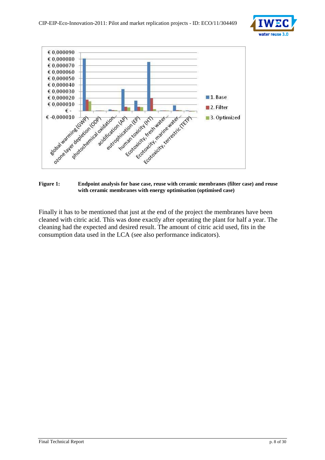



#### **Figure 1: Endpoint analysis for base case, reuse with ceramic membranes (filter case) and reuse with ceramic membranes with energy optimisation (optimised case)**

Finally it has to be mentioned that just at the end of the project the membranes have been cleaned with citric acid. This was done exactly after operating the plant for half a year. The cleaning had the expected and desired result. The amount of citric acid used, fits in the consumption data used in the LCA (see also performance indicators).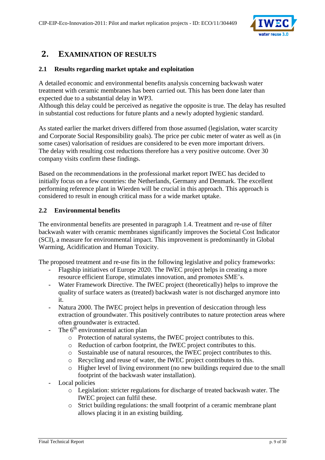

## <span id="page-8-0"></span>**2. EXAMINATION OF RESULTS**

#### <span id="page-8-1"></span>**2.1 Results regarding market uptake and exploitation**

A detailed economic and environmental benefits analysis concerning backwash water treatment with ceramic membranes has been carried out. This has been done later than expected due to a substantial delay in WP3.

Although this delay could be perceived as negative the opposite is true. The delay has resulted in substantial cost reductions for future plants and a newly adopted hygienic standard.

As stated earlier the market drivers differed from those assumed (legislation, water scarcity and Corporate Social Responsibility goals). The price per cubic meter of water as well as (in some cases) valorisation of residues are considered to be even more important drivers. The delay with resulting cost reductions therefore has a very positive outcome. Over 30 company visits confirm these findings.

Based on the recommendations in the professional market report IWEC has decided to initially focus on a few countries: the Netherlands, Germany and Denmark. The excellent performing reference plant in Wierden will be crucial in this approach. This approach is considered to result in enough critical mass for a wide market uptake.

#### <span id="page-8-2"></span>**2.2 Environmental benefits**

The environmental benefits are presented in paragraph 1.4. Treatment and re-use of filter backwash water with ceramic membranes significantly improves the Societal Cost Indicator (SCI), a measure for environmental impact. This improvement is predominantly in Global Warming, Acidification and Human Toxicity.

The proposed treatment and re-use fits in the following legislative and policy frameworks:

- Flagship initiatives of Europe 2020. The IWEC project helps in creating a more resource efficient Europe, stimulates innovation, and promotes SME's.
- Water Framework Directive. The IWEC project (theoretically) helps to improve the quality of surface waters as (treated) backwash water is not discharged anymore into it.
- Natura 2000. The IWEC project helps in prevention of desiccation through less extraction of groundwater. This positively contributes to nature protection areas where often groundwater is extracted.
- The 6<sup>th</sup> environmental action plan
	- o Protection of natural systems, the IWEC project contributes to this.
	- o Reduction of carbon footprint, the IWEC project contributes to this.
	- o Sustainable use of natural resources, the IWEC project contributes to this.
	- o Recycling and reuse of water, the IWEC project contributes to this.
	- o Higher level of living environment (no new buildings required due to the small footprint of the backwash water installation).
- Local policies
	- o Legislation: stricter regulations for discharge of treated backwash water. The IWEC project can fulfil these.
	- o Strict building regulations: the small footprint of a ceramic membrane plant allows placing it in an existing building.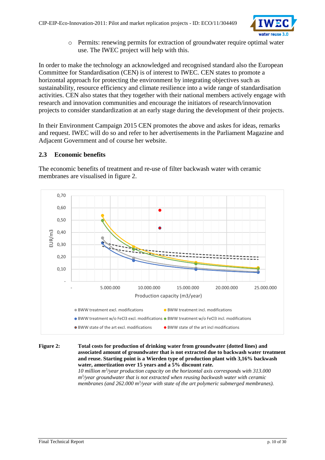

o Permits: renewing permits for extraction of groundwater require optimal water use. The IWEC project will help with this.

In order to make the technology an acknowledged and recognised standard also the European Committee for Standardisation (CEN) is of interest to IWEC. CEN states to promote a horizontal approach for protecting the environment by integrating objectives such as sustainability, resource efficiency and climate resilience into a wide range of standardisation activities. CEN also states that they together with their national members actively engage with research and innovation communities and encourage the initiators of research/innovation projects to consider standardization at an early stage during the development of their projects.

In their Environment Campaign 2015 CEN promotes the above and askes for ideas, remarks and request. IWEC will do so and refer to her advertisements in the Parliament Magazine and Adjacent Government and of course her website.

#### <span id="page-9-0"></span>**2.3 Economic benefits**

The economic benefits of treatment and re-use of filter backwash water with ceramic membranes are visualised in figure 2.



**Figure 2: Total costs for production of drinking water from groundwater (dotted lines) and associated amount of groundwater that is not extracted due to backwash water treatment and reuse. Starting point is a Wierden type of production plant with 3,16% backwash water, amortization over 15 years and a 5% discount rate.**

*10 million m<sup>3</sup> /year production capacity on the horizontal axis corresponds with 313.000 m3 /year groundwater that is not extracted when reusing backwash water with ceramic*  membranes (and 262.000 m<sup>3</sup>/year with state of the art polymeric submerged membranes).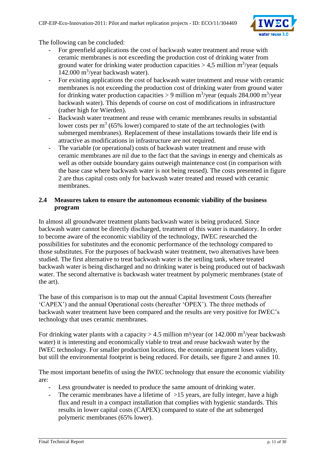

The following can be concluded:

- For greenfield applications the cost of backwash water treatment and reuse with ceramic membranes is not exceeding the production cost of drinking water from ground water for drinking water production capacities  $> 4.5$  million m<sup>3</sup>/year (equals  $142.000 \text{ m}^3/\text{year}$  backwash water).
- For existing applications the cost of backwash water treatment and reuse with ceramic membranes is not exceeding the production cost of drinking water from ground water for drinking water production capacities > 9 million  $m^3$ /year (equals 284.000 m<sup>3</sup>/year backwash water). This depends of course on cost of modifications in infrastructure (rather high for Wierden).
- Backwash water treatment and reuse with ceramic membranes results in substantial lower costs per  $m<sup>3</sup>$  (65% lower) compared to state of the art technologies (with submerged membranes). Replacement of these installations towards their life end is attractive as modifications in infrastructure are not required.
- The variable (or operational) costs of backwash water treatment and reuse with ceramic membranes are nil due to the fact that the savings in energy and chemicals as well as other outside boundary gains outweigh maintenance cost (in comparison with the base case where backwash water is not being reused). The costs presented in figure 2 are thus capital costs only for backwash water treated and reused with ceramic membranes.

#### <span id="page-10-0"></span>**2.4 Measures taken to ensure the autonomous economic viability of the business program**

In almost all groundwater treatment plants backwash water is being produced. Since backwash water cannot be directly discharged, treatment of this water is mandatory. In order to become aware of the economic viability of the technology, IWEC researched the possibilities for substitutes and the economic performance of the technology compared to those substitutes. For the purposes of backwash water treatment, two alternatives have been studied. The first alternative to treat backwash water is the settling tank, where treated backwash water is being discharged and no drinking water is being produced out of backwash water. The second alternative is backwash water treatment by polymeric membranes (state of the art).

The base of this comparison is to map out the annual Capital Investment Costs (hereafter 'CAPEX') and the annual Operational costs (hereafter 'OPEX'). The three methods of backwash water treatment have been compared and the results are very positive for IWEC's technology that uses ceramic membranes.

For drinking water plants with a capacity > 4.5 million m<sup>3</sup>/year (or 142.000 m<sup>3</sup>/year backwash water) it is interesting and economically viable to treat and reuse backwash water by the IWEC technology. For smaller production locations, the economic argument loses validity, but still the environmental footprint is being reduced. For details, see figure 2 and annex 10.

The most important benefits of using the IWEC technology that ensure the economic viability are:

- Less groundwater is needed to produce the same amount of drinking water.
- The ceramic membranes have a lifetime of  $>15$  years, are fully integer, have a high flux and result in a compact installation that complies with hygienic standards. This results in lower capital costs (CAPEX) compared to state of the art submerged polymeric membranes (65% lower).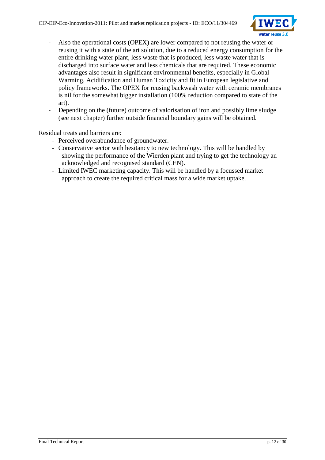

- Also the operational costs (OPEX) are lower compared to not reusing the water or reusing it with a state of the art solution, due to a reduced energy consumption for the entire drinking water plant, less waste that is produced, less waste water that is discharged into surface water and less chemicals that are required. These economic advantages also result in significant environmental benefits, especially in Global Warming, Acidification and Human Toxicity and fit in European legislative and policy frameworks. The OPEX for reusing backwash water with ceramic membranes is nil for the somewhat bigger installation (100% reduction compared to state of the art).
- Depending on the (future) outcome of valorisation of iron and possibly lime sludge (see next chapter) further outside financial boundary gains will be obtained.

Residual treats and barriers are:

- Perceived overabundance of groundwater.
- Conservative sector with hesitancy to new technology. This will be handled by showing the performance of the Wierden plant and trying to get the technology an acknowledged and recognised standard (CEN).
- Limited IWEC marketing capacity. This will be handled by a focussed market approach to create the required critical mass for a wide market uptake.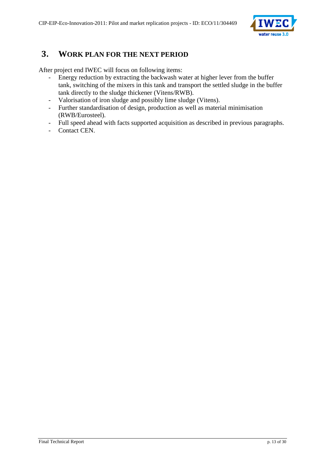

## <span id="page-12-0"></span>**3. WORK PLAN FOR THE NEXT PERIOD**

After project end IWEC will focus on following items:

- Energy reduction by extracting the backwash water at higher lever from the buffer tank, switching of the mixers in this tank and transport the settled sludge in the buffer tank directly to the sludge thickener (Vitens/RWB).
- Valorisation of iron sludge and possibly lime sludge (Vitens).
- Further standardisation of design, production as well as material minimisation (RWB/Eurosteel).
- Full speed ahead with facts supported acquisition as described in previous paragraphs.
- Contact CEN.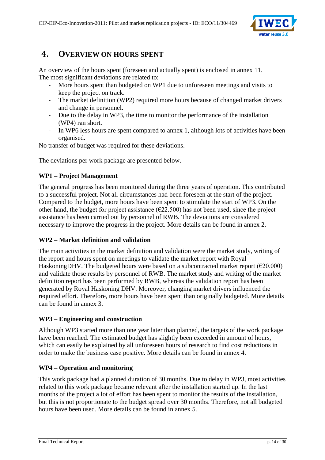

## <span id="page-13-0"></span>**4. OVERVIEW ON HOURS SPENT**

An overview of the hours spent (foreseen and actually spent) is enclosed in annex 11. The most significant deviations are related to:

- More hours spent than budgeted on WP1 due to unforeseen meetings and visits to keep the project on track.
- The market definition (WP2) required more hours because of changed market drivers and change in personnel.
- Due to the delay in WP3, the time to monitor the performance of the installation (WP4) ran short.
- In WP6 less hours are spent compared to annex 1, although lots of activities have been organised.

No transfer of budget was required for these deviations.

The deviations per work package are presented below.

#### **WP1 – Project Management**

The general progress has been monitored during the three years of operation. This contributed to a successful project. Not all circumstances had been foreseen at the start of the project. Compared to the budget, more hours have been spent to stimulate the start of WP3. On the other hand, the budget for project assistance ( $\epsilon$ 22.500) has not been used, since the project assistance has been carried out by personnel of RWB. The deviations are considered necessary to improve the progress in the project. More details can be found in annex 2.

#### **WP2 – Market definition and validation**

The main activities in the market definition and validation were the market study, writing of the report and hours spent on meetings to validate the market report with Royal HaskoningDHV. The budgeted hours were based on a subcontracted market report ( $\epsilon$ 20.000) and validate those results by personnel of RWB. The market study and writing of the market definition report has been performed by RWB, whereas the validation report has been generated by Royal Haskoning DHV. Moreover, changing market drivers influenced the required effort. Therefore, more hours have been spent than originally budgeted. More details can be found in annex 3.

#### **WP3 – Engineering and construction**

Although WP3 started more than one year later than planned, the targets of the work package have been reached. The estimated budget has slightly been exceeded in amount of hours, which can easily be explained by all unforeseen hours of research to find cost reductions in order to make the business case positive. More details can be found in annex 4.

#### **WP4 – Operation and monitoring**

This work package had a planned duration of 30 months. Due to delay in WP3, most activities related to this work package became relevant after the installation started up. In the last months of the project a lot of effort has been spent to monitor the results of the installation, but this is not proportionate to the budget spread over 30 months. Therefore, not all budgeted hours have been used. More details can be found in annex 5.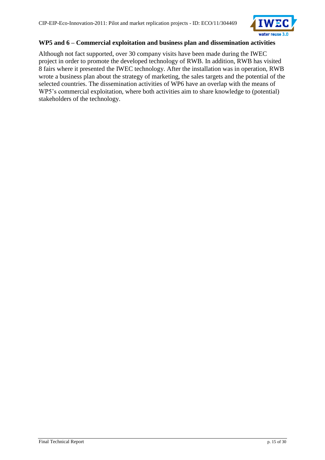

#### **WP5 and 6 – Commercial exploitation and business plan and dissemination activities**

Although not fact supported, over 30 company visits have been made during the IWEC project in order to promote the developed technology of RWB. In addition, RWB has visited 8 fairs where it presented the IWEC technology. After the installation was in operation, RWB wrote a business plan about the strategy of marketing, the sales targets and the potential of the selected countries. The dissemination activities of WP6 have an overlap with the means of WP5's commercial exploitation, where both activities aim to share knowledge to (potential) stakeholders of the technology.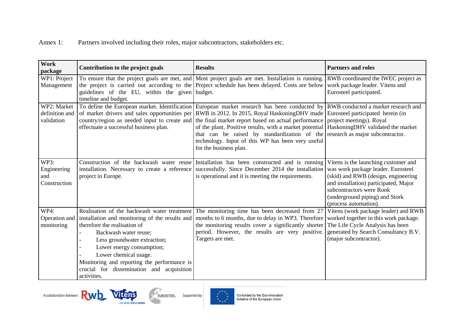Annex 1: Partners involved including their roles, major subcontractors, stakeholders etc.

| Work<br>package                             | Contribution to the project goals                                                                                                                                                                                                                      | <b>Results</b>                                                                                                                                                                                                                                                                                                                                                                                                                                                                                                                                                                                                                                                | <b>Partners and roles</b>                                                                                                                                                                                                                         |
|---------------------------------------------|--------------------------------------------------------------------------------------------------------------------------------------------------------------------------------------------------------------------------------------------------------|---------------------------------------------------------------------------------------------------------------------------------------------------------------------------------------------------------------------------------------------------------------------------------------------------------------------------------------------------------------------------------------------------------------------------------------------------------------------------------------------------------------------------------------------------------------------------------------------------------------------------------------------------------------|---------------------------------------------------------------------------------------------------------------------------------------------------------------------------------------------------------------------------------------------------|
| WP1: Project<br>Management                  | guidelines of the EU, within the given budget.<br>timeline and budget.                                                                                                                                                                                 | To ensure that the project goals are met, and Most project goals are met. Installation is running.<br>the project is carried out according to the Project schedule has been delayed. Costs are below                                                                                                                                                                                                                                                                                                                                                                                                                                                          | RWB coordinated the IWEC project as<br>work package leader. Vitens and<br>Eurosteel participated.                                                                                                                                                 |
| WP2: Market<br>definition and<br>validation | effectuate a successful business plan.                                                                                                                                                                                                                 | To define the European market. Identification European market research has been conducted by RWB conducted a market research and<br>of market drivers and sales opportunities per RWB in 2012. In 2015, Royal HaskoningDHV made Eurosteel participated herein (in<br>country/region as needed input to create and the final market report based on actual performance project meetings). Royal<br>of the plant. Positive results, with a market potential   HaskoningDHV validated the market<br>that can be raised by standardization of the research as major subcontractor.<br>technology. Input of this WP has been very useful<br>for the business plan. |                                                                                                                                                                                                                                                   |
| WP3:<br>Engineering<br>and<br>Construction  | project in Europe.                                                                                                                                                                                                                                     | Construction of the backwash water reuse Installation has been constructed and is running<br>installation. Necessary to create a reference successfully. Since December 2014 the installation<br>is operational and it is meeting the requirements.                                                                                                                                                                                                                                                                                                                                                                                                           | Vitens is the launching customer and<br>was work package leader. Eurosteel<br>(skid) and RWB (design, engineering<br>and installation) participated, Major<br>subcontractors were Rook<br>(underground piping) and Stork<br>(process automation). |
| WP4:<br>Operation and<br>monitoring         | therefore the realisation of<br>Backwash water reuse;<br>Less groundwater extraction;<br>Lower energy consumption;<br>Lower chemical usage.<br>Monitoring and reporting the performance is<br>crucial for dissemination and acquisition<br>activities. | Realisation of the backwash water treatment The monitoring time has been decreased from 27<br>installation and monitoring of the results and months to 6 months, due to delay in WP3. Therefore<br>the monitoring results cover a significantly shorter<br>period. However, the results are very positive.<br>Targets are met.                                                                                                                                                                                                                                                                                                                                | Vitens (work package leader) and RWB<br>worked together in this work package.<br>The Life Cycle Analysis has been<br>generated by Search Consultancy B.V.<br>(major subcontractor).                                                               |





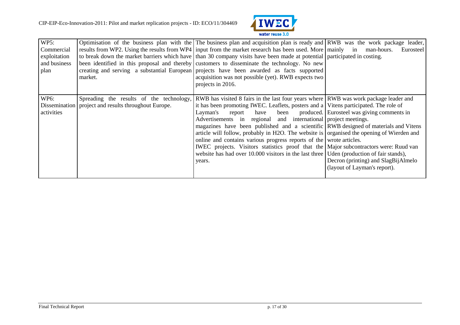

| WP5:<br>Commercial<br>exploitation<br>and business<br>plan | market.                                                | Optimisation of the business plan with the The business plan and acquisition plan is ready and RWB was the work package leader,<br>results from WP2. Using the results from WP4 input from the market research has been used. More mainly in man-hours.<br>to break down the market barriers which have than 30 company visits have been made at potential participated in costing.<br>been identified in this proposal and thereby customers to disseminate the technology. No new<br>creating and serving a substantial European projects have been awarded as facts supported<br>acquisition was not possible (yet). RWB expects two<br>projects in 2016.                                                                                                                     | Eurosteel                                                                                                                   |
|------------------------------------------------------------|--------------------------------------------------------|----------------------------------------------------------------------------------------------------------------------------------------------------------------------------------------------------------------------------------------------------------------------------------------------------------------------------------------------------------------------------------------------------------------------------------------------------------------------------------------------------------------------------------------------------------------------------------------------------------------------------------------------------------------------------------------------------------------------------------------------------------------------------------|-----------------------------------------------------------------------------------------------------------------------------|
| <b>WP6:</b><br>activities                                  | Dissemination   project and results throughout Europe. | Spreading the results of the technology, RWB has visited 8 fairs in the last four years where RWB was work package leader and<br>it has been promoting IWEC. Leaflets, posters and a Vitens participated. The role of<br>Layman's<br>report<br>Advertisements in regional and international project meetings.<br>magazines have been published and a scientific RWB designed of materials and Vitens<br>article will follow, probably in H2O. The website is organised the opening of Wierden and<br>online and contains various progress reports of the wrote articles.<br><b>IWEC</b> projects. Visitors statistics proof that the Major subcontractors were: Ruud van<br>website has had over $10.000$ visitors in the last three Uden (production of fair stands),<br>years. | have been produced. Eurosteel was giving comments in<br>Decron (printing) and SlagBijAlmelo<br>(layout of Layman's report). |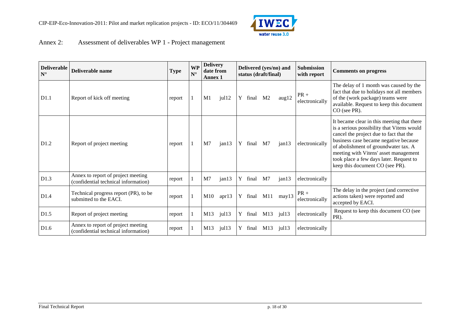

## Annex 2: Assessment of deliverables WP 1 - Project management

| <b>Deliverable</b><br>$N^{\circ}$ | Deliverable name                                                           | <b>Type</b> | <b>WP</b><br>$N^{\circ}$ | <b>Delivery</b><br>date from<br><b>Annex 1</b> |                      |   |         | status (draft/final) | Delivered (yes/no) and | <b>Submission</b><br>with report | <b>Comments on progress</b>                                                                                                                                                                                                                                                                                                                 |
|-----------------------------------|----------------------------------------------------------------------------|-------------|--------------------------|------------------------------------------------|----------------------|---|---------|----------------------|------------------------|----------------------------------|---------------------------------------------------------------------------------------------------------------------------------------------------------------------------------------------------------------------------------------------------------------------------------------------------------------------------------------------|
| D1.1                              | Report of kick off meeting                                                 | report      |                          | M1                                             | jull2                |   | Y final | M <sub>2</sub>       | aug12                  | $PR +$<br>electronically         | The delay of 1 month was caused by the<br>fact that due to holidays not all members<br>of the (work package) teams were<br>available. Request to keep this document<br>CO (see PR).                                                                                                                                                         |
| D1.2                              | Report of project meeting                                                  | report      |                          | M <sub>7</sub>                                 | jan13                |   | Y final | M <sub>7</sub>       | jan13                  | electronically                   | It became clear in this meeting that there<br>is a serious possibility that Vitens would<br>cancel the project due to fact that the<br>business case became negative because<br>of abolishment of groundwater tax. A<br>meeting with Vitens' asset management<br>took place a few days later. Request to<br>keep this document CO (see PR). |
| D1.3                              | Annex to report of project meeting<br>(confidential technical information) | report      |                          | M <sub>7</sub>                                 | jan13                | Y | final   | M7                   | jan13                  | electronically                   |                                                                                                                                                                                                                                                                                                                                             |
| D <sub>1.4</sub>                  | Technical progress report (PR), to be<br>submitted to the EACI.            | report      |                          | M10                                            | apr13                |   |         | Y final M11          | may13                  | $PR +$<br>electronically         | The delay in the project (and corrective<br>actions taken) were reported and<br>accepted by EACI.                                                                                                                                                                                                                                           |
| D1.5                              | Report of project meeting                                                  | report      |                          | M13                                            | $j$ ul $13$          | Y | final   | M13                  | $j$ ul 13              | electronically                   | Request to keep this document CO (see<br>PR).                                                                                                                                                                                                                                                                                               |
| D1.6                              | Annex to report of project meeting<br>(confidential technical information) | report      |                          | M13                                            | $j$ ul <sub>13</sub> |   | final   | M13                  | $j$ ul 13              | electronically                   |                                                                                                                                                                                                                                                                                                                                             |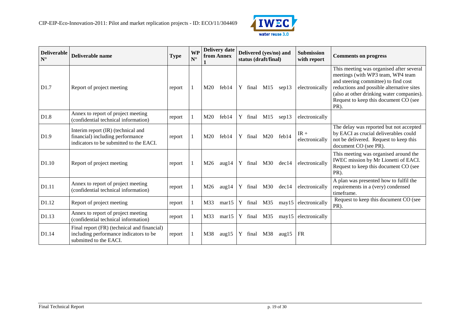

| <b>Deliverable</b><br>$N^{\circ}$ | Deliverable name                                                                                                  | <b>Type</b> | <b>WP</b><br>$N^{\circ}$ |                 | <b>Delivery date</b><br>from Annex |   | Delivered (yes/no) and<br>status (draft/final) |     |                   |                          |                                                                                                                                                                                                                                                                  |  | <b>Submission</b><br>with report | <b>Comments on progress</b> |
|-----------------------------------|-------------------------------------------------------------------------------------------------------------------|-------------|--------------------------|-----------------|------------------------------------|---|------------------------------------------------|-----|-------------------|--------------------------|------------------------------------------------------------------------------------------------------------------------------------------------------------------------------------------------------------------------------------------------------------------|--|----------------------------------|-----------------------------|
| D1.7                              | Report of project meeting                                                                                         | report      |                          | M20             | feb14                              |   |                                                |     | Y final M15 sep13 | electronically           | This meeting was organised after several<br>meetings (with WP3 team, WP4 team<br>and steering committee) to find cost<br>reductions and possible alternative sites<br>(also at other drinking water companies).<br>Request to keep this document CO (see<br>PR). |  |                                  |                             |
| D1.8                              | Annex to report of project meeting<br>(confidential technical information)                                        | report      |                          | M <sub>20</sub> | feb14                              |   | Y final                                        | M15 | sep13             | electronically           |                                                                                                                                                                                                                                                                  |  |                                  |                             |
| D1.9                              | Interim report (IR) (technical and<br>financial) including performance<br>indicators to be submitted to the EACI. | report      |                          | M20             | feb14                              | Y | final                                          | M20 | feb14             | $IR +$<br>electronically | The delay was reported but not accepted<br>by EACI as crucial deliverables could<br>not be delivered. Request to keep this<br>document CO (see PR).                                                                                                              |  |                                  |                             |
| D <sub>1.10</sub>                 | Report of project meeting                                                                                         | report      |                          | M26             | aug14                              |   | Y final M30                                    |     | dec14             | electronically           | This meeting was organised around the<br>IWEC mission by Mr Lionetti of EACI.<br>Request to keep this document CO (see<br>PR).                                                                                                                                   |  |                                  |                             |
| D1.11                             | Annex to report of project meeting<br>(confidential technical information)                                        | report      |                          | M26             | aug14                              |   | Y final                                        | M30 | dec14             | electronically           | A plan was presented how to fulfil the<br>requirements in a (very) condensed<br>timeframe.                                                                                                                                                                       |  |                                  |                             |
| D1.12                             | Report of project meeting                                                                                         | report      |                          | M33             | mar15                              |   | Y final                                        | M35 | may15             | electronically           | Request to keep this document CO (see<br>PR).                                                                                                                                                                                                                    |  |                                  |                             |
| D1.13                             | Annex to report of project meeting<br>(confidential technical information)                                        | report      |                          | M33             | mar15                              | Y | final                                          | M35 | may15             | electronically           |                                                                                                                                                                                                                                                                  |  |                                  |                             |
| D1.14                             | Final report (FR) (technical and financial)<br>including performance indicators to be<br>submitted to the EACI.   | report      |                          | M38             | aug $15$                           |   | Y final                                        | M38 | aug $15$          | FR                       |                                                                                                                                                                                                                                                                  |  |                                  |                             |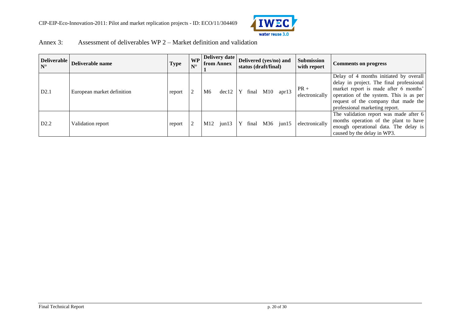

| Annex 3: | Assessment of deliverables $WP$ 2 – Market definition and validation |
|----------|----------------------------------------------------------------------|
|----------|----------------------------------------------------------------------|

| <b>Deliverable</b><br>$N^{\circ}$ | Deliverable name           | Type   | <b>WP</b><br>$N^{\circ}$ |     | Delivery date<br><b>from Annex</b> |              | Delivered (yes/no) and<br>status (draft/final) |     |                 |                           |                                                                                                                                                                                                                                                  |  | Submission<br>with report | <b>Comments on progress</b> |
|-----------------------------------|----------------------------|--------|--------------------------|-----|------------------------------------|--------------|------------------------------------------------|-----|-----------------|---------------------------|--------------------------------------------------------------------------------------------------------------------------------------------------------------------------------------------------------------------------------------------------|--|---------------------------|-----------------------------|
| D2.1                              | European market definition | report |                          | M6  | dec12                              | $\mathbf{Y}$ |                                                |     | final M10 apr13 | $ PR +$<br>electronically | Delay of 4 months initiated by overall<br>delay in project. The final professional<br>market report is made after 6 months'<br>operation of the system. This is as per<br>request of the company that made the<br>professional marketing report. |  |                           |                             |
| D2.2                              | Validation report          | report |                          | M12 | $j$ un 13                          | Y            | final                                          | M36 | $j$ un $15$     | electronically            | The validation report was made after 6<br>months operation of the plant to have<br>enough operational data. The delay is<br>caused by the delay in WP3.                                                                                          |  |                           |                             |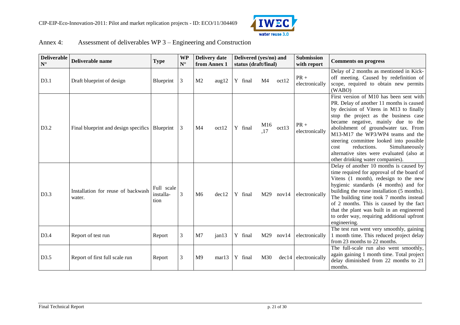

| Annex 4: | Assessment of deliverables WP 3 – Engineering and Construction |
|----------|----------------------------------------------------------------|
|----------|----------------------------------------------------------------|

| <b>Deliverable</b><br>$\mathbf{N}^\circ$ | Deliverable name                                 | <b>Type</b>                     | <b>WP</b><br>$\mathbf{N}^\circ$ | <b>Delivery date</b><br>from Annex 1 |       | Delivered (yes/no) and<br>status (draft/final) |            |       | Submission<br>with report | <b>Comments on progress</b>                                                                                                                                                                                                                                                                                                                                                                                                                                     |
|------------------------------------------|--------------------------------------------------|---------------------------------|---------------------------------|--------------------------------------|-------|------------------------------------------------|------------|-------|---------------------------|-----------------------------------------------------------------------------------------------------------------------------------------------------------------------------------------------------------------------------------------------------------------------------------------------------------------------------------------------------------------------------------------------------------------------------------------------------------------|
| D3.1                                     | Draft blueprint of design                        | Blueprint                       | $\mathfrak{Z}$                  | M <sub>2</sub>                       | aug12 | Y final                                        | M4         | oct12 | $PR +$<br>electronically  | Delay of 2 months as mentioned in Kick-<br>off meeting. Caused by redefinition of<br>scope, required to obtain new permits<br>(WABO)                                                                                                                                                                                                                                                                                                                            |
| D3.2                                     | Final blueprint and design specifics   Blueprint |                                 | 3                               | M <sub>4</sub>                       | oct12 | Y final                                        | M16<br>,17 | oct13 | $PR +$<br>electronically  | First version of M10 has been sent with<br>PR. Delay of another 11 months is caused<br>by decision of Vitens in M13 to finally<br>stop the project as the business case<br>became negative, mainly due to the<br>abolishment of groundwater tax. From<br>M13-M17 the WP3/WP4 teams and the<br>steering committee looked into possible<br>reductions.<br>Simultaneously<br>cost<br>alternative sites were evaluated (also at<br>other drinking water companies). |
| D3.3                                     | Installation for reuse of backwash<br>water.     | Full scale<br>installa-<br>tion | 3                               | M <sub>6</sub>                       | dec12 | Y final                                        | M29        | nov14 | electronically            | Delay of another 10 months is caused by<br>time required for approval of the board of<br>Vitens (1 month), redesign to the new<br>hygienic standards (4 months) and for<br>building the reuse installation (5 months).<br>The building time took 7 months instead<br>of 2 months. This is caused by the fact<br>that the plant was built in an engineered<br>to order way, requiring additional upfront<br>engineering.                                         |
| D3.4                                     | Report of test run                               | Report                          | 3                               | M <sub>7</sub>                       | jan13 | Y final                                        | M29        | nov14 | electronically            | The test run went very smoothly, gaining<br>1 month time. This reduced project delay<br>from 23 months to 22 months.                                                                                                                                                                                                                                                                                                                                            |
| D3.5                                     | Report of first full scale run                   | Report                          | 3                               | M <sub>9</sub>                       | mar13 | Y final                                        | M30        |       | $dec14$ electronically    | The full-scale run also went smoothly,<br>again gaining 1 month time. Total project<br>delay diminished from 22 months to 21<br>months.                                                                                                                                                                                                                                                                                                                         |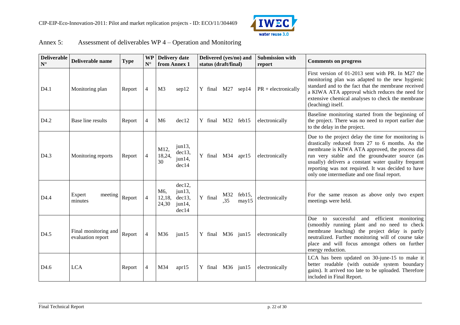

| Annex $5$ : | Assessment of deliverables $WP 4 - Operation$ and Monitoring |  |  |
|-------------|--------------------------------------------------------------|--|--|
|-------------|--------------------------------------------------------------|--|--|

| <b>Deliverable</b><br>$N^{\circ}$ | Deliverable name                          | <b>Type</b> | <b>WP</b><br>$N^{\circ}$ | <b>Delivery date</b><br>from Annex 1                                                   | Delivered (yes/no) and<br>status (draft/final) |            |                 | <b>Submission with</b><br>report | <b>Comments on progress</b>                                                                                                                                                                                                                                                                                                                                            |
|-----------------------------------|-------------------------------------------|-------------|--------------------------|----------------------------------------------------------------------------------------|------------------------------------------------|------------|-----------------|----------------------------------|------------------------------------------------------------------------------------------------------------------------------------------------------------------------------------------------------------------------------------------------------------------------------------------------------------------------------------------------------------------------|
| D4.1                              | Monitoring plan                           | Report      | $\overline{4}$           | M <sub>3</sub><br>sep12                                                                | Y final M27                                    |            | sep14           | $PR + electronically$            | First version of 01-2013 sent with PR. In M27 the<br>monitoring plan was adapted to the new hygienic<br>standard and to the fact that the membrane received<br>a KIWA ATA approval which reduces the need for<br>extensive chemical analyses to check the membrane<br>(leaching) itself.                                                                               |
| D <sub>4.2</sub>                  | Base line results                         | Report      | 4                        | dec12<br>M <sub>6</sub>                                                                | Y final M32 feb15                              |            |                 | electronically                   | Baseline monitoring started from the beginning of<br>the project. There was no need to report earlier due<br>to the delay in the project.                                                                                                                                                                                                                              |
| D <sub>4.3</sub>                  | Monitoring reports                        | Report      | $\overline{4}$           | $j$ un 13,<br>M12,<br>dec13,<br>18,24,<br>jun14,<br>30<br>dec14                        | Y final M34 apr15                              |            |                 | electronically                   | Due to the project delay the time for monitoring is<br>drastically reduced from 27 to 6 months. As the<br>membrane is KIWA ATA approved, the process did<br>run very stable and the groundwater source (as<br>usually) delivers a constant water quality frequent<br>reporting was not required. It was decided to have<br>only one intermediate and one final report. |
| D <sub>4.4</sub>                  | Expert<br>meeting<br>minutes              | Report      | $\overline{4}$           | dec12,<br>jun13,<br>M <sub>6</sub><br>dec13,<br>12,18,<br>24,30<br>$j$ un 14,<br>dec14 | Y final                                        | M32<br>,35 | feb15,<br>may15 | electronically                   | For the same reason as above only two expert<br>meetings were held.                                                                                                                                                                                                                                                                                                    |
| D <sub>4.5</sub>                  | Final monitoring and<br>evaluation report | Report      | $\overline{4}$           | M36<br>$j$ un $15$                                                                     | Y final M36 jun15                              |            |                 | electronically                   | efficient monitoring<br>successful<br>and<br>Due<br>to<br>(smoothly running plant and no need to check<br>membrane leaching) the project delay is partly<br>neutralized. Further monitoring will of course take<br>place and will focus amongst others on further<br>energy reduction.                                                                                 |
| D <sub>4.6</sub>                  | <b>LCA</b>                                | Report      | 4                        | M34<br>apr15                                                                           | Y final M36 jun15                              |            |                 | electronically                   | LCA has been updated on 30-june-15 to make it<br>better readable (with outside system boundary<br>gains). It arrived too late to be uploaded. Therefore<br>included in Final Report.                                                                                                                                                                                   |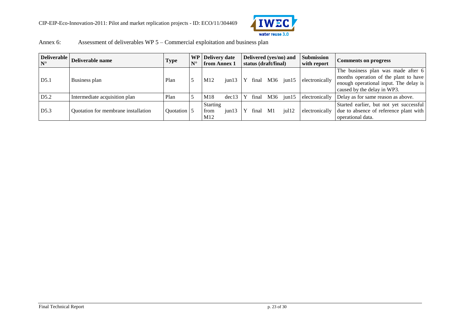

| Annex 6: | Assessment of deliverables $WP 5 -$ Commercial exploitation and business plan |
|----------|-------------------------------------------------------------------------------|
|          |                                                                               |

| $N^{\circ}$ | Deliverable Deliverable name        | Type        | $N^{\circ}$ | <b>WP</b> Delivery date<br>from Annex 1 |                |   |       | status (draft/final) | Delivered (yes/no) and | <b>Submission</b><br>with report                           | <b>Comments on progress</b>                                                                                                                          |
|-------------|-------------------------------------|-------------|-------------|-----------------------------------------|----------------|---|-------|----------------------|------------------------|------------------------------------------------------------|------------------------------------------------------------------------------------------------------------------------------------------------------|
| D5.1        | Business plan                       | Plan        |             | M12                                     |                |   |       |                      |                        | $\vert$ jun13   Y final M36 $\vert$ jun15   electronically | The business plan was made after 6<br>months operation of the plant to have<br>enough operational input. The delay is<br>caused by the delay in WP3. |
| D5.2        | Intermediate acquisition plan       | Plan        |             | M18                                     | $dec13 \mid Y$ |   | final | M36                  | $i$ un $15$            | electronically                                             | Delay as for same reason as above.                                                                                                                   |
| D5.3        | Quotation for membrane installation | Ouotation 5 |             | <b>Starting</b><br>from<br>M12          | $i$ un $13$    | Y | final | M1                   | $j$ ull2               | electronically                                             | Started earlier, but not yet successful<br>due to absence of reference plant with<br>operational data.                                               |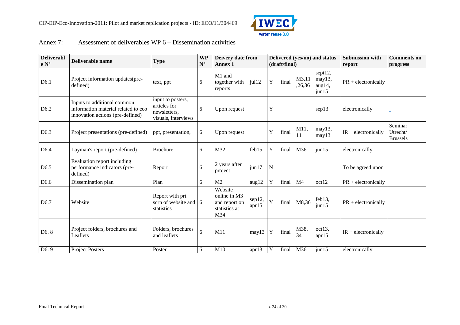

#### Annex 7: Assessment of deliverables WP 6 – Dissemination activities

| <b>Deliverabl</b><br>$\mathbf{e} \, \mathbf{N}^\circ$ | Deliverable name                                                                                       | <b>Type</b>                                                              | <b>WP</b><br>$\mathbf{N}^\circ$ | Deivery date from<br><b>Annex 1</b>                              |                 |             | (draft/final) |                 | Delivered (yes/no) and status              | <b>Submission with</b><br>report | <b>Comments on</b><br>progress         |
|-------------------------------------------------------|--------------------------------------------------------------------------------------------------------|--------------------------------------------------------------------------|---------------------------------|------------------------------------------------------------------|-----------------|-------------|---------------|-----------------|--------------------------------------------|----------------------------------|----------------------------------------|
| D6.1                                                  | Project information updates (pre-<br>defined)                                                          | text, ppt                                                                | 6                               | M1 and<br>together with<br>reports                               | $j$ ul $12$     | Y           | final         | M3,11<br>,26,36 | sept12,<br>may13,<br>aug14,<br>$j$ un $15$ | $PR + electronically$            |                                        |
| D <sub>6.2</sub>                                      | Inputs to additional common<br>information material related to eco<br>innovation actions (pre-defined) | input to posters,<br>articles for<br>newsletters,<br>visuals, interviews | 6                               | Upon request                                                     |                 | Y           |               |                 | sep13                                      | electronically                   |                                        |
| D <sub>6.3</sub>                                      | Project presentations (pre-defined)                                                                    | ppt, presentation,                                                       | 6                               | Upon request                                                     |                 | Y           | final         | M11,<br>11      | may13,<br>may13                            | $IR + electronically$            | Seminar<br>Utrecht/<br><b>Brussels</b> |
| D <sub>6.4</sub>                                      | Layman's report (pre-defined)                                                                          | <b>Brochure</b>                                                          | 6                               | M32                                                              | feb15           | Y           | final         | M36             | $j$ un $15$                                | electronically                   |                                        |
| D <sub>6.5</sub>                                      | Evaluation report including<br>performance indicators (pre-<br>defined)                                | Report                                                                   | 6                               | 2 years after<br>project                                         | jun17           | ${\bf N}$   |               |                 |                                            | To be agreed upon                |                                        |
| D <sub>6.6</sub>                                      | Dissemination plan                                                                                     | Plan                                                                     | 6                               | M <sub>2</sub>                                                   | aug12           | Y           | final         | M <sub>4</sub>  | oct12                                      | $PR + electronically$            |                                        |
| D6.7                                                  | Website                                                                                                | Report with prt<br>scrn of website and $\vert 6 \vert$<br>statistics     |                                 | Website<br>online in M3<br>and report on<br>statistics at<br>M34 | sep12,<br>apr15 | $\mathbf Y$ | final         | M8,36           | $feb13$ ,<br>$j$ un $15$                   | $PR + electronically$            |                                        |
| D <sub>6</sub> .8                                     | Project folders, brochures and<br>Leaflets                                                             | Folders, brochures<br>and leaflets                                       | 6                               | M11                                                              | may13           | Y           | final         | M38,<br>34      | oct13,<br>apr15                            | $IR + electronically$            |                                        |
| D <sub>6.9</sub>                                      | <b>Project Posters</b>                                                                                 | Poster                                                                   | 6                               | M10                                                              | apr13           | Y           | final         | M36             | $j$ un $15$                                | electronically                   |                                        |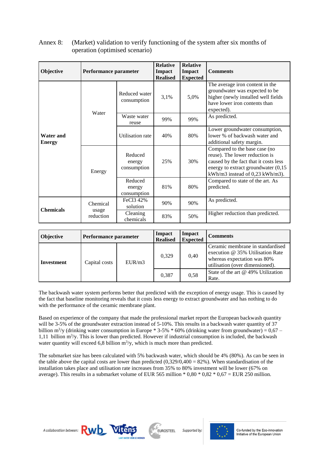| Objective                                             | Performance parameter | <b>Relative</b><br><b>Relative</b><br><b>Impact</b><br>Impact<br><b>Realised</b><br><b>Expected</b><br>3,1%<br>5,0%<br>consumption<br>Waste water<br>99%<br>99%<br>reuse<br>80%<br>40%<br>Reduced<br>25%<br>30%<br>energy<br>consumption |     |     | <b>Comments</b>                                                                                                                                                                    |
|-------------------------------------------------------|-----------------------|------------------------------------------------------------------------------------------------------------------------------------------------------------------------------------------------------------------------------------------|-----|-----|------------------------------------------------------------------------------------------------------------------------------------------------------------------------------------|
| <b>Water and</b><br><b>Energy</b><br><b>Chemicals</b> | Water                 | Reduced water                                                                                                                                                                                                                            |     |     | The average iron content in the<br>groundwater was expected to be<br>higher (newly installed well fields<br>have lower iron contents than<br>expected).                            |
|                                                       |                       |                                                                                                                                                                                                                                          |     |     | As predicted.                                                                                                                                                                      |
|                                                       |                       | Utilisation rate                                                                                                                                                                                                                         |     |     | Lower groundwater consumption,<br>lower % of backwash water and<br>additional safety margin.                                                                                       |
|                                                       | Energy                |                                                                                                                                                                                                                                          |     |     | Compared to the base case (no<br>reuse). The lower reduction is<br>caused by the fact that it costs less<br>energy to extract groundwater (0,15<br>kWh/m3 instead of 0,23 kWh/m3). |
|                                                       |                       | Reduced<br>energy<br>consumption                                                                                                                                                                                                         | 81% | 80% | Compared to state of the art. As<br>predicted.                                                                                                                                     |
|                                                       | Chemical              | FeCl3 42%<br>solution                                                                                                                                                                                                                    | 90% | 90% | As predicted.                                                                                                                                                                      |
|                                                       | usage<br>reduction    | Cleaning<br>chemicals                                                                                                                                                                                                                    | 83% | 50% | Higher reduction than predicted.                                                                                                                                                   |

#### Annex 8: (Market) validation to verify functioning of the system after six months of operation (optimised scenario)

| <b>Objective</b>  | Performance parameter |        | Impact<br><b>Realised</b> | Impact<br><b>Expected</b> | <b>Comments</b>                                                                                                                        |
|-------------------|-----------------------|--------|---------------------------|---------------------------|----------------------------------------------------------------------------------------------------------------------------------------|
| <b>Investment</b> | Capital costs         | EUR/m3 | 0,329                     | 0.40                      | Ceramic membrane in standardised<br>execution @ 35% Utilisation Rate<br>whereas expectation was 80%<br>utilisation (over dimensioned). |
|                   |                       |        | 0.387                     | 0.58                      | State of the art @ 49% Utilization<br>Rate.                                                                                            |

The backwash water system performs better that predicted with the exception of energy usage. This is caused by the fact that baseline monitoring reveals that it costs less energy to extract groundwater and has nothing to do with the performance of the ceramic membrane plant.

Based on experience of the company that made the professional market report the European backwash quantity will be 3-5% of the groundwater extraction instead of 5-10%. This results in a backwash water quantity of 37 billion m<sup>3</sup>/y (drinking water consumption in Europe  $*$  3-5%  $*$  60% (drinking water from groundwater) = 0,67 – 1,11 billion  $m^3$ /y. This is lower than predicted. However if industrial consumption is included, the backwash water quantity will exceed 6,8 billion  $m^3/y$ , which is much more than predicted.

The submarket size has been calculated with 5% backwash water, which should be 4% (80%). As can be seen in the table above the capital costs are lower than predicted  $(0,329/0,400 = 82\%)$ . When standardisation of the installation takes place and utilisation rate increases from 35% to 80% investment will be lower (67% on average). This results in a submarket volume of EUR 565 million  $*$  0.80  $*$  0.82  $*$  0.67 = EUR 250 million.



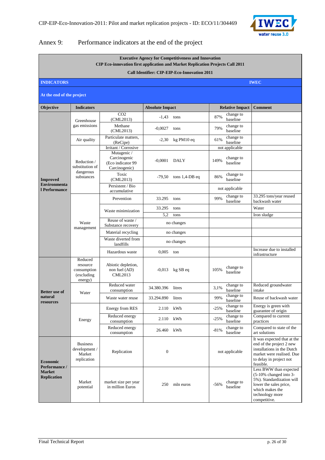

#### Annex 9: Performance indicators at the end of the project

|                                     |                                                             | CIP Eco-innovation first application and Market Replication Projects Call 2011            |                        | <b>Executive Agency for Competitiveness and Innovation</b> |                                 |                                         |                                                                                                                                                                  |
|-------------------------------------|-------------------------------------------------------------|-------------------------------------------------------------------------------------------|------------------------|------------------------------------------------------------|---------------------------------|-----------------------------------------|------------------------------------------------------------------------------------------------------------------------------------------------------------------|
|                                     |                                                             |                                                                                           |                        | Call Identifier: CIP-EIP-Eco-Innovation 2011               |                                 |                                         |                                                                                                                                                                  |
| <b>INDICATORS</b>                   |                                                             |                                                                                           |                        |                                                            |                                 |                                         | <b>IWEC</b>                                                                                                                                                      |
| At the end of the project           |                                                             |                                                                                           |                        |                                                            |                                 |                                         |                                                                                                                                                                  |
| Objective                           | <b>Indicators</b>                                           |                                                                                           | <b>Absolute Impact</b> |                                                            |                                 | <b>Relative Impact</b>                  | <b>Comment</b>                                                                                                                                                   |
|                                     | Greenhouse<br>gas emissions                                 | CO <sub>2</sub><br>(CML2013)<br>Methane                                                   | $-1,43$                | tons                                                       | 87%                             | change to<br>baseline<br>change to      |                                                                                                                                                                  |
|                                     |                                                             | (CML2013)                                                                                 | $-0,0027$              | tons                                                       | 79%                             | baseline                                |                                                                                                                                                                  |
|                                     | Air quality                                                 | Particulate matters,<br>(ReCipe)                                                          | $-2,30$                | kg PM10 eq                                                 | 61%                             | change to<br>baseline                   |                                                                                                                                                                  |
|                                     | Reduction /<br>substitution of                              | Irritant / Corrosive<br>Mutagenic /<br>Carcinogenic<br>(Eco indicator 99<br>Carcinogenic) | $-0,0001$              | <b>DALY</b>                                                | 149%                            | not applicable<br>change to<br>baseline |                                                                                                                                                                  |
| Improved<br><b>Environmenta</b>     | dangerous<br>substances                                     | Toxic<br>(CML2013)                                                                        | $-79,50$               | tons $1,4$ -DB eq                                          | 86%                             | change to<br>baseline                   |                                                                                                                                                                  |
| l Performance                       |                                                             | Persistent / Bio<br>accumulative                                                          |                        |                                                            |                                 | not applicable                          |                                                                                                                                                                  |
|                                     |                                                             | Prevention                                                                                | 33.295                 | tons                                                       | 99%                             | change to<br>baseline                   | 33.295 tons/year reused<br>backwash water                                                                                                                        |
|                                     |                                                             | Waste minimization                                                                        | 33.295                 | tons                                                       |                                 |                                         | Water                                                                                                                                                            |
|                                     | Waste<br>management                                         | Reuse of waste /<br>Substance recovery                                                    | 5,2                    | tons<br>no changes                                         |                                 |                                         | Iron sludge                                                                                                                                                      |
|                                     |                                                             | Material recycling                                                                        |                        | no changes                                                 |                                 |                                         |                                                                                                                                                                  |
|                                     |                                                             | Waste diverted from<br>landfills                                                          |                        | no changes                                                 |                                 |                                         |                                                                                                                                                                  |
|                                     |                                                             | Hazardous waste                                                                           | 0.005                  | ton                                                        |                                 |                                         | Increase due to installed<br>infrastructure                                                                                                                      |
|                                     | Reduced<br>resource<br>consumption<br>(excluding<br>energy) | Abiotic depletion,<br>non fuel (AD)<br><b>CML2013</b>                                     |                        | $-0.013$ kg SB eq                                          | 105%                            | change to<br>baseline                   |                                                                                                                                                                  |
| <b>Better use of</b>                | Water                                                       | Reduced water<br>consumption                                                              | 34.380.396 litres      |                                                            | 3.1%                            | change to<br>baseline                   | Reduced groundwater<br>intake                                                                                                                                    |
| natural<br>resources                |                                                             | Waste water reuse                                                                         | 33.294.890 litres      |                                                            | 99%                             | change to<br>baseline                   | Reuse of backwash water                                                                                                                                          |
|                                     |                                                             | Energy from RES                                                                           | 2.110                  | kWh                                                        | $-25%$                          | change to<br>baseline                   | Energy is green with<br>guarantee of origin                                                                                                                      |
|                                     | Energy                                                      | Reduced energy<br>consumption                                                             | 2.110                  | kWh                                                        | $-25%$                          | change to<br>baseline                   | Compared to current<br>practices                                                                                                                                 |
|                                     |                                                             | Reduced energy<br>consumption                                                             | 26.460                 | kWh                                                        | $-81%$                          | change to<br>baseline                   | Compared to state of the<br>art solutions                                                                                                                        |
| Economic<br>Performance /           | <b>Business</b><br>development /<br>Market<br>replication   | Replication                                                                               | $\boldsymbol{0}$       |                                                            |                                 | not applicable                          | It was expected that at the<br>end of the project 2 new<br>installations in the Dutch<br>market were realised. Due<br>to delay in project not<br>feasible.       |
| <b>Market</b><br><b>Replication</b> | Market<br>potential                                         | market size per year<br>in million Euros                                                  | 250                    | mln euros                                                  | change to<br>$-56%$<br>baseline |                                         | Less BWW than expected<br>$(5-10\%$ changed into 3-<br>5%). Standardization will<br>lower the sales price,<br>which makes the<br>technology more<br>competitive. |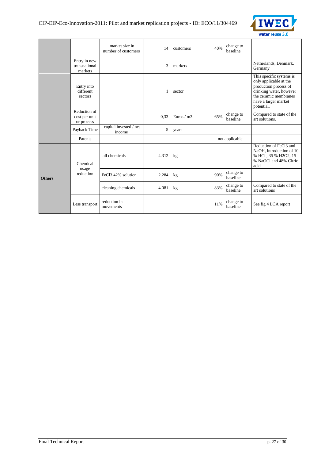

|               |                                             | market size in<br>number of customers | 14       | customers   | 40% | change to<br>baseline |                                                                                                                                                                       |
|---------------|---------------------------------------------|---------------------------------------|----------|-------------|-----|-----------------------|-----------------------------------------------------------------------------------------------------------------------------------------------------------------------|
|               | Entry in new<br>transnational<br>markets    |                                       | 3        | markets     |     |                       | Netherlands, Denmark,<br>Germany                                                                                                                                      |
|               | Entry into<br>different<br>sectors          |                                       |          | sector      |     |                       | This specific systems is<br>only applicable at the<br>production process of<br>drinking water, however<br>the ceramic membranes<br>have a larger market<br>potential. |
|               | Reduction of<br>cost per unit<br>or process |                                       | 0.33     | Euros $/m3$ | 65% | change to<br>baseline | Compared to state of the<br>art solutions.                                                                                                                            |
|               | Payback Time                                | capital invested / net<br>income      | 5        | years       |     |                       |                                                                                                                                                                       |
|               | Patents                                     |                                       |          |             |     | not applicable        |                                                                                                                                                                       |
|               | Chemical                                    | all chemicals                         | 4.312 kg |             |     |                       | Reduction of FeCl3 and<br>NaOH, introduction of 10<br>% HCl, 35 % H2O2, 15<br>% NaOCl and 48% Citric<br>acid                                                          |
| <b>Others</b> | usage<br>reduction                          | FeCl3 42% solution                    | 2.284 kg |             | 90% | change to<br>baseline |                                                                                                                                                                       |
|               |                                             | cleaning chemicals                    | 4.081    | kg          | 83% | change to<br>baseline | Compared to state of the<br>art solutions                                                                                                                             |
|               | Less transport                              | reduction in<br>movements             |          |             | 11% | change to<br>baseline | See fig 4 LCA report                                                                                                                                                  |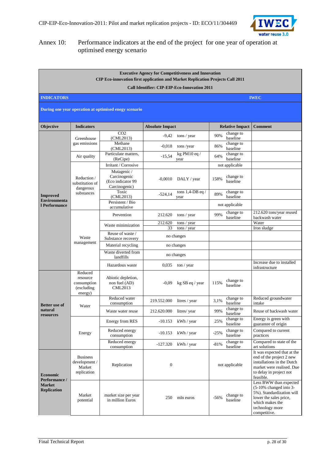

#### Annex 10: Performance indicators at the end of the project for one year of operation at optimised energy scenario

|                                      |                                                             | <b>CIP Eco-innovation first application and Market Replication Projects Call 2011</b> |                        | <b>Executive Agency for Competitiveness and Innovation</b> |        |                            |                                                                                                                                                                  |
|--------------------------------------|-------------------------------------------------------------|---------------------------------------------------------------------------------------|------------------------|------------------------------------------------------------|--------|----------------------------|------------------------------------------------------------------------------------------------------------------------------------------------------------------|
|                                      |                                                             |                                                                                       |                        | <b>Call Identifier: CIP-EIP-Eco-Innovation 2011</b>        |        |                            |                                                                                                                                                                  |
| <b>INDICATORS</b>                    |                                                             |                                                                                       |                        |                                                            |        |                            | <b>IWEC</b>                                                                                                                                                      |
|                                      |                                                             | During one year operation at optimised enegy scenario                                 |                        |                                                            |        |                            |                                                                                                                                                                  |
| <b>Objective</b>                     | <b>Indicators</b>                                           |                                                                                       | <b>Absolute Impact</b> |                                                            |        | <b>Relative Impact</b>     | <b>Comment</b>                                                                                                                                                   |
|                                      | Greenhouse                                                  | CO <sub>2</sub><br>(CML2013)                                                          | $-9,42$                | tons / year                                                | 90%    | change to<br>baseline      |                                                                                                                                                                  |
|                                      | gas emissions                                               | Methane<br>(CML2013)                                                                  | $-0.018$               | tons/year                                                  | 86%    | change to<br>baseline      |                                                                                                                                                                  |
|                                      | Air quality                                                 | Particulate matters,                                                                  | $-15,54$               | kg PM $10$ eq /                                            | 64%    | change to                  |                                                                                                                                                                  |
|                                      |                                                             | (ReCipe)<br>Irritant / Corrosive                                                      |                        | vear                                                       |        | baseline<br>not applicable |                                                                                                                                                                  |
|                                      | Reduction /<br>substitution of                              | Mutagenic /<br>Carcinogenic<br>(Eco indicator 99<br>Carcinogenic)                     | $-0,0010$              | DALY / year                                                | 158%   | change to<br>baseline      |                                                                                                                                                                  |
| <b>Improved</b>                      | dangerous<br>substances                                     | Toxic<br>(CML2013)                                                                    | $-524,14$              | tons $1,4$ -DB eq /<br>year                                | 89%    | change to<br>baseline      |                                                                                                                                                                  |
| <b>Environmenta</b><br>l Performance |                                                             | Persistent / Bio<br>accumulative                                                      |                        |                                                            |        | not applicable             |                                                                                                                                                                  |
|                                      |                                                             | Prevention                                                                            | 212.620                | tons / year                                                | 99%    | change to<br>baseline      | 212.620 tons/year reused<br>backwash water                                                                                                                       |
|                                      |                                                             | Waste minimization                                                                    | 212.620                | tons / year                                                |        |                            | Water                                                                                                                                                            |
|                                      | Waste<br>management                                         | Reuse of waste /                                                                      | 33                     | tons / year<br>no changes                                  |        |                            | Iron sludge                                                                                                                                                      |
|                                      |                                                             | Substance recovery                                                                    |                        |                                                            |        |                            |                                                                                                                                                                  |
|                                      |                                                             | Material recycling<br>Waste diverted from                                             |                        | no changes                                                 |        |                            |                                                                                                                                                                  |
|                                      |                                                             | landfills                                                                             |                        | no changes                                                 |        |                            |                                                                                                                                                                  |
|                                      |                                                             | Hazardous waste                                                                       | 0,035                  | $\frac{1}{\pi}$ / year                                     |        |                            | Increase due to installed<br>infrastructure                                                                                                                      |
|                                      | Reduced<br>resource<br>consumption<br>(excluding<br>energy) | Abiotic depletion,<br>non fuel (AD)<br><b>CML2013</b>                                 | $-0.09$                | kg SB eq / year                                            | 115%   | change to<br>baseline      |                                                                                                                                                                  |
| <b>Better</b> use of                 | Water                                                       | Reduced water<br>consumption                                                          | 219.552.000            | litres / year                                              | 3.1%   | change to<br>baseline      | Reduced groundwater<br>intake                                                                                                                                    |
| natural<br>resources                 |                                                             | Waste water reuse                                                                     | 212.620.000            | litres/ year                                               | 99%    | change to<br>baseline      | Reuse of backwash water                                                                                                                                          |
|                                      |                                                             | Energy from RES                                                                       | $-10.153$              | kWh / year                                                 | 25%    | change to<br>baseline      | Energy is green with<br>guarantee of origin                                                                                                                      |
|                                      | Energy                                                      | Reduced energy<br>consumption                                                         | $-10.153$              | kWh / year                                                 | $-25%$ | change to<br>baseline      | Compared to current<br>practices                                                                                                                                 |
|                                      |                                                             | Reduced energy<br>consumption                                                         | $-127.320$             | kWh / year                                                 | $-81%$ | change to<br>baseline      | Compared to state of the<br>art solutions                                                                                                                        |
| <b>Economic</b><br>Performance /     | <b>Business</b><br>development /<br>Market<br>replication   | Replication                                                                           | $\boldsymbol{0}$       |                                                            |        | not applicable             | It was expected that at the<br>end of the project 2 new<br>installations in the Dutch<br>market were realised. Due<br>to delay in project not<br>feasible.       |
| <b>Market</b><br><b>Replication</b>  | Market<br>potential                                         | market size per year<br>in million Euros                                              | 250                    | mln euros                                                  | $-56%$ | change to<br>baseline      | Less BWW than expected<br>$(5-10\%$ changed into 3-<br>5%). Standardization will<br>lower the sales price,<br>which makes the<br>technology more<br>competitive. |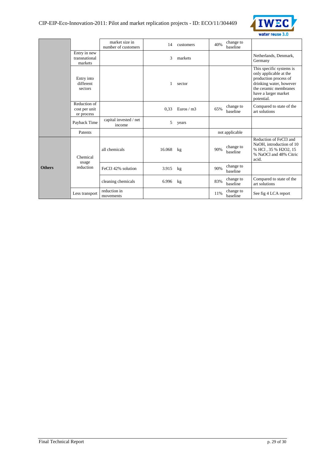

|               |                                             | market size in<br>number of customers | 14     | customers   | 40% | change to<br>baseline |                                                                                                                                                                       |
|---------------|---------------------------------------------|---------------------------------------|--------|-------------|-----|-----------------------|-----------------------------------------------------------------------------------------------------------------------------------------------------------------------|
|               | Entry in new<br>transnational<br>markets    |                                       | 3      | markets     |     |                       | Netherlands, Denmark,<br>Germany                                                                                                                                      |
|               | Entry into<br>different<br>sectors          |                                       | 1      | sector      |     |                       | This specific systems is<br>only applicable at the<br>production process of<br>drinking water, however<br>the ceramic membranes<br>have a larger market<br>potential. |
|               | Reduction of<br>cost per unit<br>or process |                                       | 0.33   | Euros $/m3$ | 65% | change to<br>baseline | Compared to state of the<br>art solutions                                                                                                                             |
|               | Payback Time                                | capital invested / net<br>income      | 5      | years       |     |                       |                                                                                                                                                                       |
|               | Patents                                     |                                       |        |             |     | not applicable        |                                                                                                                                                                       |
|               | Chemical<br>usage                           | all chemicals                         | 16.068 | kg          | 90% | change to<br>baseline | Reduction of FeCl3 and<br>NaOH, introduction of 10<br>% HCl, 35 % H2O2, 15<br>% NaOCl and 48% Citric<br>acid.                                                         |
| <b>Others</b> | reduction                                   | FeCl <sub>3</sub> 42% solution        | 3.915  | kg          | 90% | change to<br>baseline |                                                                                                                                                                       |
|               |                                             | cleaning chemicals                    | 6.996  | kg          | 83% | change to<br>baseline | Compared to state of the<br>art solutions                                                                                                                             |
|               | Less transport                              | reduction in<br>movements             |        |             | 11% | change to<br>baseline | See fig 4 LCA report                                                                                                                                                  |